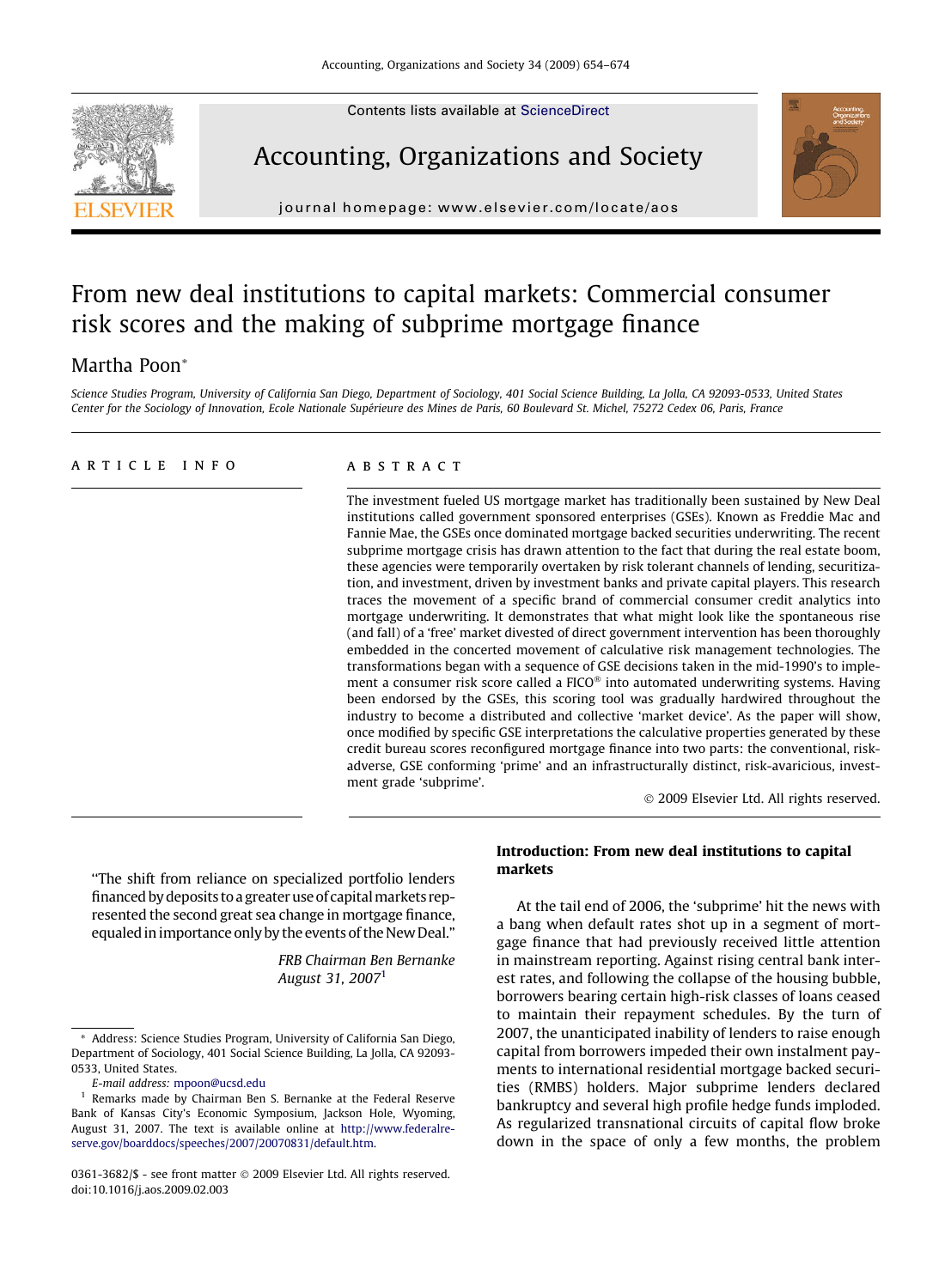Contents lists available at [ScienceDirect](http://www.sciencedirect.com/science/journal/03613682)



Accounting, Organizations and Society



journal homepage: [www.elsevier.com/locate/aos](http://www.elsevier.com/locate/aos)

## From new deal institutions to capital markets: Commercial consumer risk scores and the making of subprime mortgage finance

### Martha Poon\*

Science Studies Program, University of California San Diego, Department of Sociology, 401 Social Science Building, La Jolla, CA 92093-0533, United States Center for the Sociology of Innovation, Ecole Nationale Supérieure des Mines de Paris, 60 Boulevard St. Michel, 75272 Cedex 06, Paris, France

### article info abstract

The investment fueled US mortgage market has traditionally been sustained by New Deal institutions called government sponsored enterprises (GSEs). Known as Freddie Mac and Fannie Mae, the GSEs once dominated mortgage backed securities underwriting. The recent subprime mortgage crisis has drawn attention to the fact that during the real estate boom, these agencies were temporarily overtaken by risk tolerant channels of lending, securitization, and investment, driven by investment banks and private capital players. This research traces the movement of a specific brand of commercial consumer credit analytics into mortgage underwriting. It demonstrates that what might look like the spontaneous rise (and fall) of a 'free' market divested of direct government intervention has been thoroughly embedded in the concerted movement of calculative risk management technologies. The transformations began with a sequence of GSE decisions taken in the mid-1990's to implement a consumer risk score called a FICO $<sup>®</sup>$  into automated underwriting systems. Having</sup> been endorsed by the GSEs, this scoring tool was gradually hardwired throughout the industry to become a distributed and collective 'market device'. As the paper will show, once modified by specific GSE interpretations the calculative properties generated by these credit bureau scores reconfigured mortgage finance into two parts: the conventional, riskadverse, GSE conforming 'prime' and an infrastructurally distinct, risk-avaricious, investment grade 'subprime'.

2009 Elsevier Ltd. All rights reserved.

''The shift from reliance on specialized portfolio lenders financed by deposits to a greater use of capital markets represented the second great sea change in mortgage finance, equaled in importance only by the events of the New Deal."

> FRB Chairman Ben Bernanke August 31, 2007<sup>1</sup>

### Introduction: From new deal institutions to capital markets

At the tail end of 2006, the 'subprime' hit the news with a bang when default rates shot up in a segment of mortgage finance that had previously received little attention in mainstream reporting. Against rising central bank interest rates, and following the collapse of the housing bubble, borrowers bearing certain high-risk classes of loans ceased to maintain their repayment schedules. By the turn of 2007, the unanticipated inability of lenders to raise enough capital from borrowers impeded their own instalment payments to international residential mortgage backed securities (RMBS) holders. Major subprime lenders declared bankruptcy and several high profile hedge funds imploded. As regularized transnational circuits of capital flow broke down in the space of only a few months, the problem

<sup>\*</sup> Address: Science Studies Program, University of California San Diego, Department of Sociology, 401 Social Science Building, La Jolla, CA 92093- 0533, United States.

E-mail address: [mpoon@ucsd.edu](mailto:mpoon@ucsd.edu)

Remarks made by Chairman Ben S. Bernanke at the Federal Reserve Bank of Kansas City's Economic Symposium, Jackson Hole, Wyoming, August 31, 2007. The text is available online at [http://www.federalre](http://www.federalreserve.gov/boarddocs/speeches/2007/20070831/default.htm)[serve.gov/boarddocs/speeches/2007/20070831/default.htm](http://www.federalreserve.gov/boarddocs/speeches/2007/20070831/default.htm).

<sup>0361-3682/\$ -</sup> see front matter © 2009 Elsevier Ltd. All rights reserved. doi:10.1016/j.aos.2009.02.003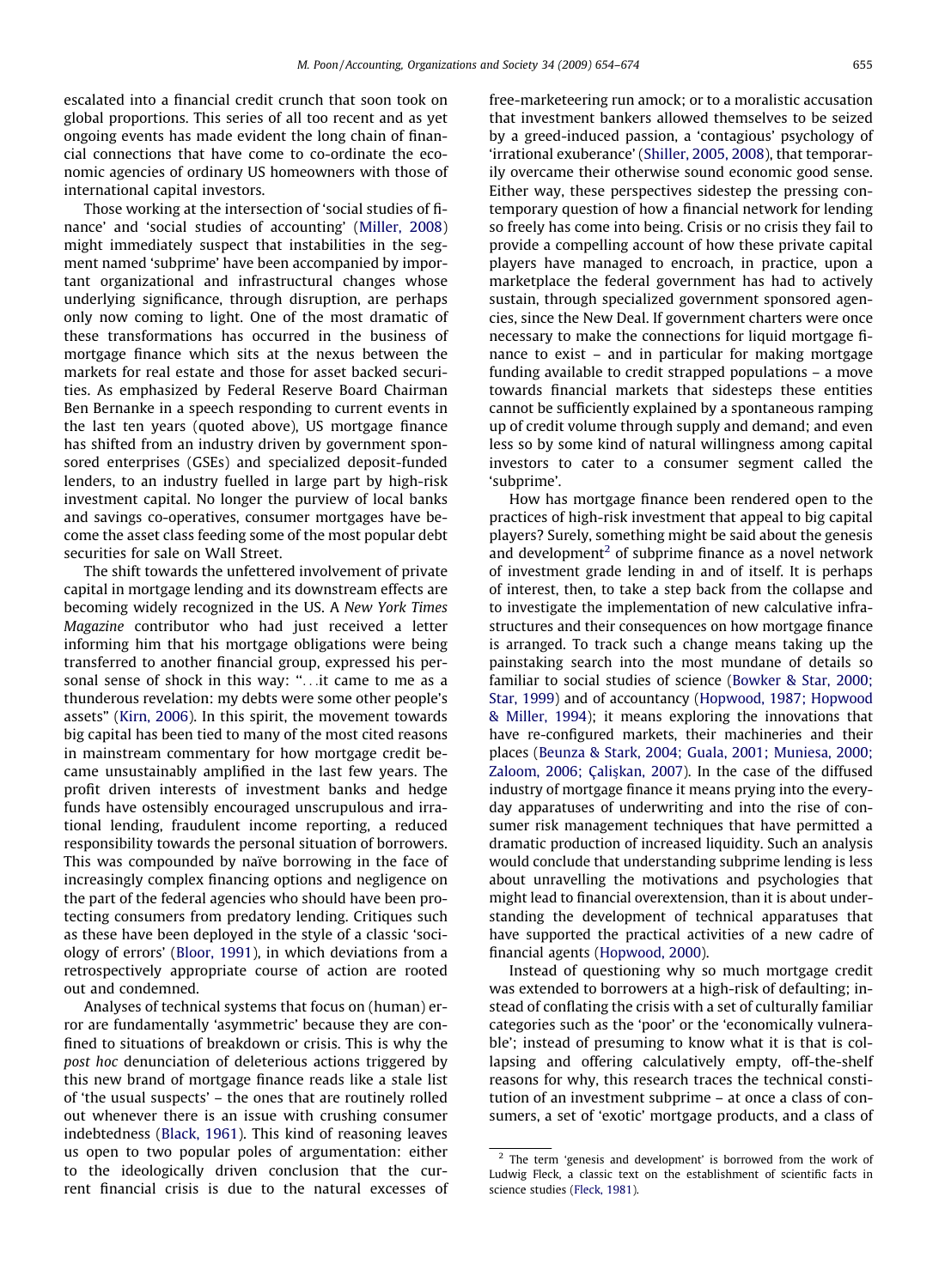escalated into a financial credit crunch that soon took on global proportions. This series of all too recent and as yet ongoing events has made evident the long chain of financial connections that have come to co-ordinate the economic agencies of ordinary US homeowners with those of international capital investors.

Those working at the intersection of 'social studies of finance' and 'social studies of accounting' ([Miller, 2008](#page--1-0)) might immediately suspect that instabilities in the segment named 'subprime' have been accompanied by important organizational and infrastructural changes whose underlying significance, through disruption, are perhaps only now coming to light. One of the most dramatic of these transformations has occurred in the business of mortgage finance which sits at the nexus between the markets for real estate and those for asset backed securities. As emphasized by Federal Reserve Board Chairman Ben Bernanke in a speech responding to current events in the last ten years (quoted above), US mortgage finance has shifted from an industry driven by government sponsored enterprises (GSEs) and specialized deposit-funded lenders, to an industry fuelled in large part by high-risk investment capital. No longer the purview of local banks and savings co-operatives, consumer mortgages have become the asset class feeding some of the most popular debt securities for sale on Wall Street.

The shift towards the unfettered involvement of private capital in mortgage lending and its downstream effects are becoming widely recognized in the US. A New York Times Magazine contributor who had just received a letter informing him that his mortgage obligations were being transferred to another financial group, expressed his personal sense of shock in this way: "...it came to me as a thunderous revelation: my debts were some other people's assets" ([Kirn, 2006\)](#page--1-0). In this spirit, the movement towards big capital has been tied to many of the most cited reasons in mainstream commentary for how mortgage credit became unsustainably amplified in the last few years. The profit driven interests of investment banks and hedge funds have ostensibly encouraged unscrupulous and irrational lending, fraudulent income reporting, a reduced responsibility towards the personal situation of borrowers. This was compounded by naïve borrowing in the face of increasingly complex financing options and negligence on the part of the federal agencies who should have been protecting consumers from predatory lending. Critiques such as these have been deployed in the style of a classic 'sociology of errors' ([Bloor, 1991](#page--1-0)), in which deviations from a retrospectively appropriate course of action are rooted out and condemned.

Analyses of technical systems that focus on (human) error are fundamentally 'asymmetric' because they are confined to situations of breakdown or crisis. This is why the post hoc denunciation of deleterious actions triggered by this new brand of mortgage finance reads like a stale list of 'the usual suspects' – the ones that are routinely rolled out whenever there is an issue with crushing consumer indebtedness [\(Black, 1961](#page--1-0)). This kind of reasoning leaves us open to two popular poles of argumentation: either to the ideologically driven conclusion that the current financial crisis is due to the natural excesses of free-marketeering run amock; or to a moralistic accusation that investment bankers allowed themselves to be seized by a greed-induced passion, a 'contagious' psychology of 'irrational exuberance' [\(Shiller, 2005, 2008\)](#page--1-0), that temporarily overcame their otherwise sound economic good sense. Either way, these perspectives sidestep the pressing contemporary question of how a financial network for lending so freely has come into being. Crisis or no crisis they fail to provide a compelling account of how these private capital players have managed to encroach, in practice, upon a marketplace the federal government has had to actively sustain, through specialized government sponsored agencies, since the New Deal. If government charters were once necessary to make the connections for liquid mortgage finance to exist – and in particular for making mortgage funding available to credit strapped populations – a move towards financial markets that sidesteps these entities cannot be sufficiently explained by a spontaneous ramping up of credit volume through supply and demand; and even less so by some kind of natural willingness among capital investors to cater to a consumer segment called the 'subprime'.

How has mortgage finance been rendered open to the practices of high-risk investment that appeal to big capital players? Surely, something might be said about the genesis and development<sup>2</sup> of subprime finance as a novel network of investment grade lending in and of itself. It is perhaps of interest, then, to take a step back from the collapse and to investigate the implementation of new calculative infrastructures and their consequences on how mortgage finance is arranged. To track such a change means taking up the painstaking search into the most mundane of details so familiar to social studies of science [\(Bowker & Star, 2000;](#page--1-0) [Star, 1999\)](#page--1-0) and of accountancy [\(Hopwood, 1987; Hopwood](#page--1-0) [& Miller, 1994](#page--1-0)); it means exploring the innovations that have re-configured markets, their machineries and their places ([Beunza & Stark, 2004; Guala, 2001; Muniesa, 2000;](#page--1-0) [Zaloom, 2006; Çali](#page--1-0)ş[kan, 2007\)](#page--1-0). In the case of the diffused industry of mortgage finance it means prying into the everyday apparatuses of underwriting and into the rise of consumer risk management techniques that have permitted a dramatic production of increased liquidity. Such an analysis would conclude that understanding subprime lending is less about unravelling the motivations and psychologies that might lead to financial overextension, than it is about understanding the development of technical apparatuses that have supported the practical activities of a new cadre of financial agents ([Hopwood, 2000\)](#page--1-0).

Instead of questioning why so much mortgage credit was extended to borrowers at a high-risk of defaulting; instead of conflating the crisis with a set of culturally familiar categories such as the 'poor' or the 'economically vulnerable'; instead of presuming to know what it is that is collapsing and offering calculatively empty, off-the-shelf reasons for why, this research traces the technical constitution of an investment subprime – at once a class of consumers, a set of 'exotic' mortgage products, and a class of

 $2$  The term 'genesis and development' is borrowed from the work of Ludwig Fleck, a classic text on the establishment of scientific facts in science studies ([Fleck, 1981\)](#page--1-0).